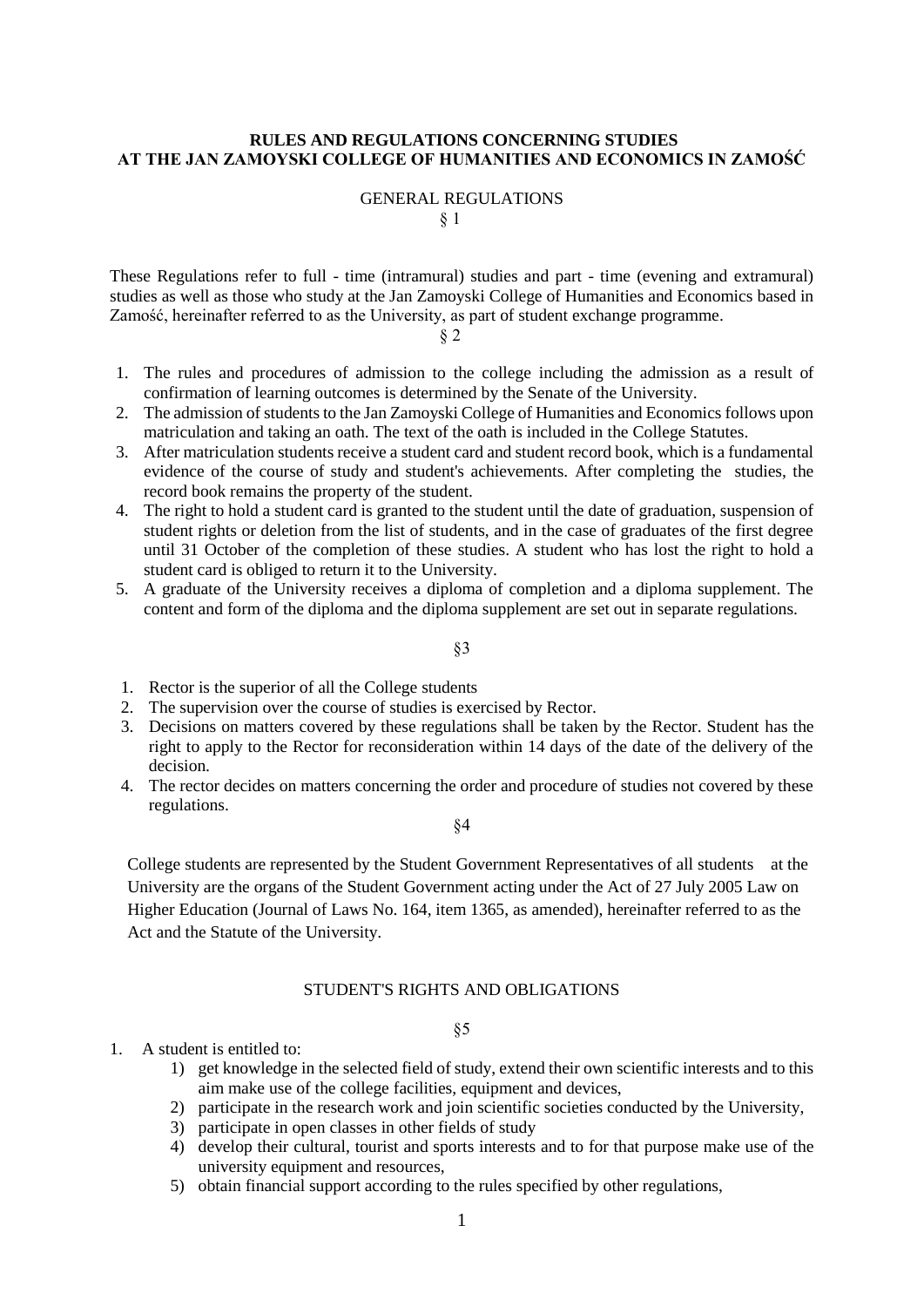### **RULES AND REGULATIONS CONCERNING STUDIES AT THE JAN ZAMOYSKI COLLEGE OF HUMANITIES AND ECONOMICS IN ZAMOŚĆ**

### GENERAL REGULATIONS § 1

These Regulations refer to full - time (intramural) studies and part - time (evening and extramural) studies as well as those who study at the Jan Zamoyski College of Humanities and Economics based in Zamość, hereinafter referred to as the University, as part of student exchange programme.

§ 2

- 1. The rules and procedures of admission to the college including the admission as a result of confirmation of learning outcomes is determined by the Senate of the University.
- 2. The admission of students to the Jan Zamoyski College of Humanities and Economics follows upon matriculation and taking an oath. The text of the oath is included in the College Statutes.
- 3. After matriculation students receive a student card and student record book, which is a fundamental evidence of the course of study and student's achievements. After completing the studies, the record book remains the property of the student.
- 4. The right to hold a student card is granted to the student until the date of graduation, suspension of student rights or deletion from the list of students, and in the case of graduates of the first degree until 31 October of the completion of these studies. A student who has lost the right to hold a student card is obliged to return it to the University.
- 5. A graduate of the University receives a diploma of completion and a diploma supplement. The content and form of the diploma and the diploma supplement are set out in separate regulations.

§3

- 1. Rector is the superior of all the College students
- 2. The supervision over the course of studies is exercised by Rector.
- 3. Decisions on matters covered by these regulations shall be taken by the Rector. Student has the right to apply to the Rector for reconsideration within 14 days of the date of the delivery of the decision.
- 4. The rector decides on matters concerning the order and procedure of studies not covered by these regulations.

§4

College students are represented by the Student Government Representatives of all students at the University are the organs of the Student Government acting under the Act of 27 July 2005 Law on Higher Education (Journal of Laws No. 164, item 1365, as amended), hereinafter referred to as the Act and the Statute of the University.

## STUDENT'S RIGHTS AND OBLIGATIONS

- 1. A student is entitled to:
	- 1) get knowledge in the selected field of study, extend their own scientific interests and to this aim make use of the college facilities, equipment and devices,
	- 2) participate in the research work and join scientific societies conducted by the University,
	- 3) participate in open classes in other fields of study
	- 4) develop their cultural, tourist and sports interests and to for that purpose make use of the university equipment and resources,
	- 5) obtain financial support according to the rules specified by other regulations,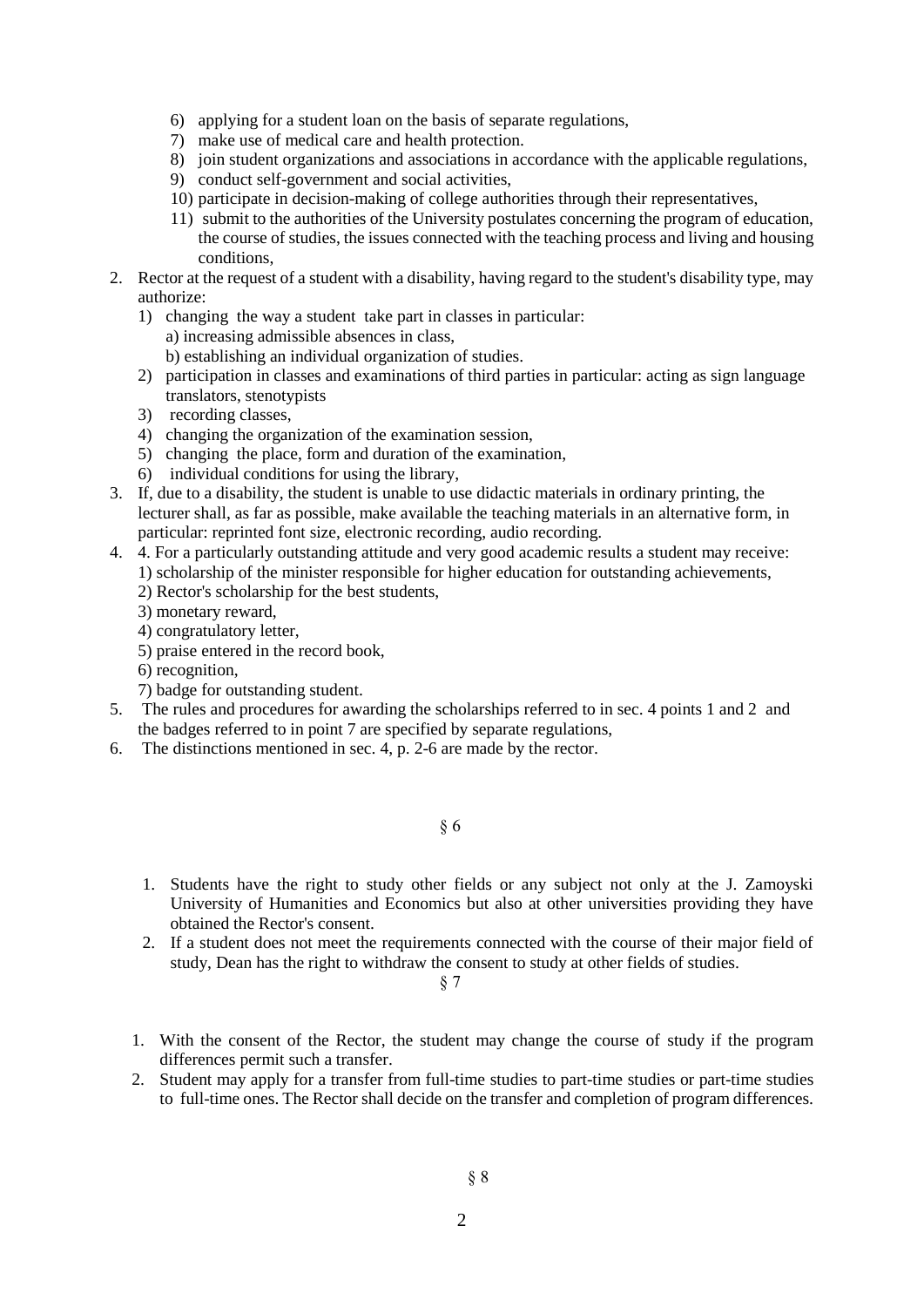- 6) applying for a student loan on the basis of separate regulations,
- 7) make use of medical care and health protection.
- 8) join student organizations and associations in accordance with the applicable regulations,
- 9) conduct self-government and social activities,
- 10) participate in decision-making of college authorities through their representatives,
- 11) submit to the authorities of the University postulates concerning the program of education, the course of studies, the issues connected with the teaching process and living and housing conditions,
- 2. Rector at the request of a student with a disability, having regard to the student's disability type, may authorize:
	- 1) changing the way a student take part in classes in particular: a) increasing admissible absences in class, b) establishing an individual organization of studies.
	- 2) participation in classes and examinations of third parties in particular: acting as sign language translators, stenotypists
	- 3) recording classes,
	- 4) changing the organization of the examination session,
	- 5) changing the place, form and duration of the examination,
	- 6) individual conditions for using the library,
- 3. If, due to a disability, the student is unable to use didactic materials in ordinary printing, the lecturer shall, as far as possible, make available the teaching materials in an alternative form, in particular: reprinted font size, electronic recording, audio recording.
- 4. 4. For a particularly outstanding attitude and very good academic results a student may receive: 1) scholarship of the minister responsible for higher education for outstanding achievements, 2) Rector's scholarship for the best students,
	- 3) monetary reward,
	- 4) congratulatory letter,
	- 5) praise entered in the record book,
	- 6) recognition,
	- 7) badge for outstanding student.
- 5. The rules and procedures for awarding the scholarships referred to in sec. 4 points 1 and 2 and the badges referred to in point 7 are specified by separate regulations,
- 6. The distinctions mentioned in sec. 4, p. 2-6 are made by the rector.

- 1. Students have the right to study other fields or any subject not only at the J. Zamoyski University of Humanities and Economics but also at other universities providing they have obtained the Rector's consent.
- 2. If a student does not meet the requirements connected with the course of their major field of study, Dean has the right to withdraw the consent to study at other fields of studies.

- 1. With the consent of the Rector, the student may change the course of study if the program differences permit such a transfer.
- 2. Student may apply for a transfer from full-time studies to part-time studies or part-time studies to full-time ones. The Rector shall decide on the transfer and completion of program differences.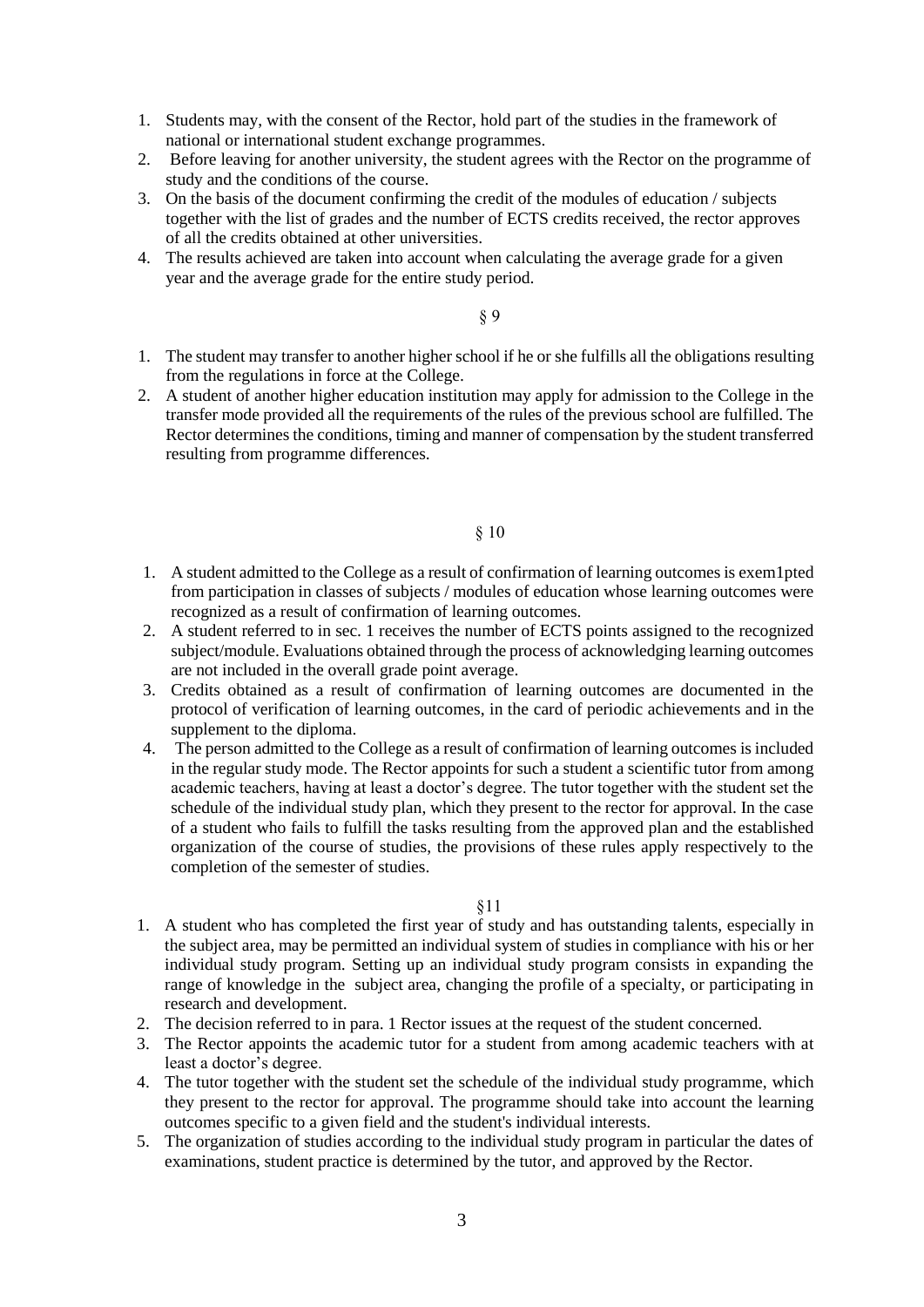- 1. Students may, with the consent of the Rector, hold part of the studies in the framework of national or international student exchange programmes.
- 2. Before leaving for another university, the student agrees with the Rector on the programme of study and the conditions of the course.
- 3. On the basis of the document confirming the credit of the modules of education / subjects together with the list of grades and the number of ECTS credits received, the rector approves of all the credits obtained at other universities.
- 4. The results achieved are taken into account when calculating the average grade for a given year and the average grade for the entire study period.

- 1. The student may transfer to another higher school if he or she fulfills all the obligations resulting from the regulations in force at the College.
- 2. A student of another higher education institution may apply for admission to the College in the transfer mode provided all the requirements of the rules of the previous school are fulfilled. The Rector determines the conditions, timing and manner of compensation by the student transferred resulting from programme differences.

### § 10

- 1. A student admitted to the College as a result of confirmation of learning outcomes is exem1pted from participation in classes of subjects / modules of education whose learning outcomes were recognized as a result of confirmation of learning outcomes.
- 2. A student referred to in sec. 1 receives the number of ECTS points assigned to the recognized subject/module. Evaluations obtained through the process of acknowledging learning outcomes are not included in the overall grade point average.
- 3. Credits obtained as a result of confirmation of learning outcomes are documented in the protocol of verification of learning outcomes, in the card of periodic achievements and in the supplement to the diploma.
- 4. The person admitted to the College as a result of confirmation of learning outcomes is included in the regular study mode. The Rector appoints for such a student a scientific tutor from among academic teachers, having at least a doctor's degree. The tutor together with the student set the schedule of the individual study plan, which they present to the rector for approval. In the case of a student who fails to fulfill the tasks resulting from the approved plan and the established organization of the course of studies, the provisions of these rules apply respectively to the completion of the semester of studies.

- 1. A student who has completed the first year of study and has outstanding talents, especially in the subject area, may be permitted an individual system of studies in compliance with his or her individual study program. Setting up an individual study program consists in expanding the range of knowledge in the subject area, changing the profile of a specialty, or participating in research and development.
- 2. The decision referred to in para. 1 Rector issues at the request of the student concerned.
- 3. The Rector appoints the academic tutor for a student from among academic teachers with at least a doctor's degree.
- 4. The tutor together with the student set the schedule of the individual study programme, which they present to the rector for approval. The programme should take into account the learning outcomes specific to a given field and the student's individual interests.
- 5. The organization of studies according to the individual study program in particular the dates of examinations, student practice is determined by the tutor, and approved by the Rector.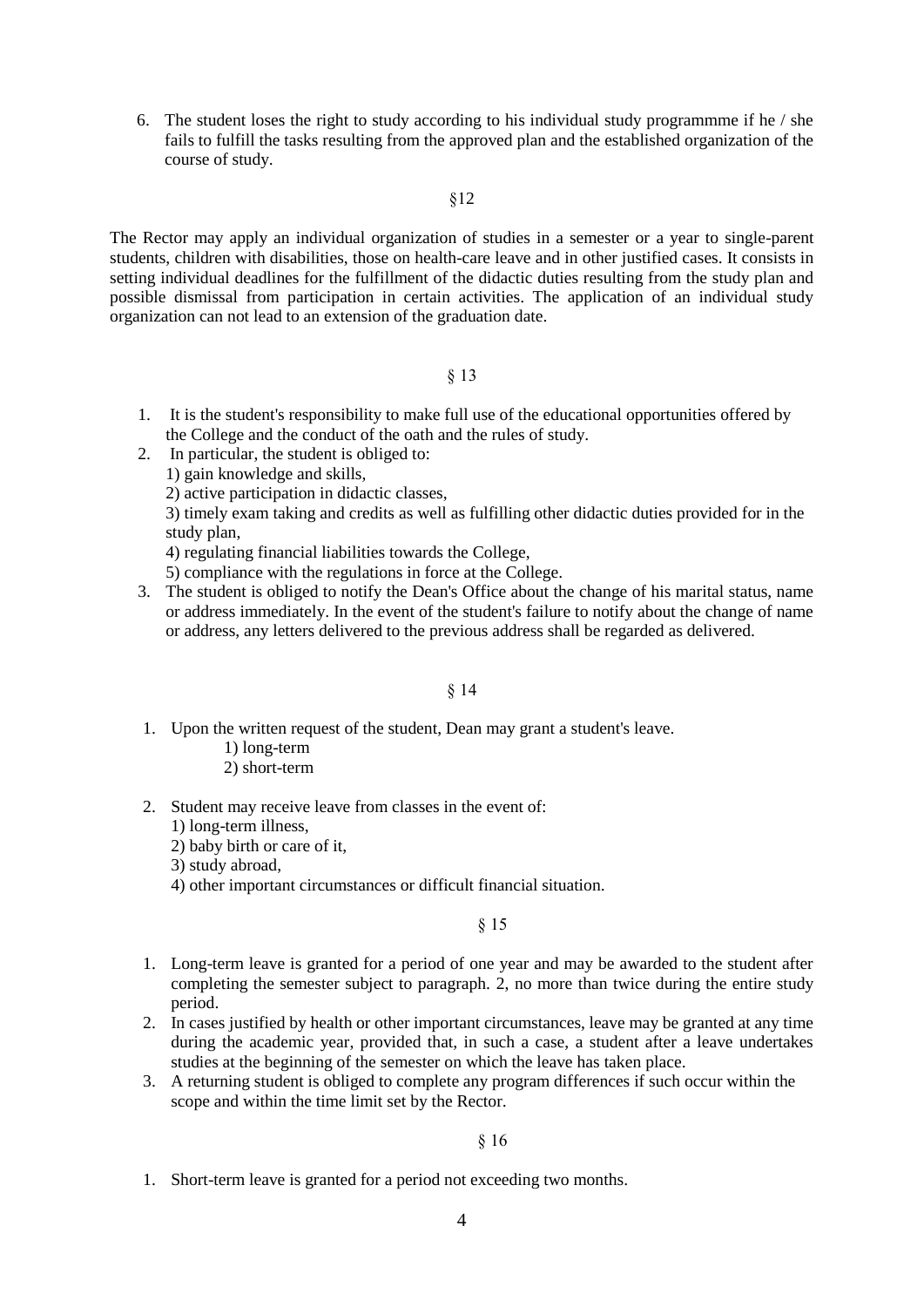6. The student loses the right to study according to his individual study programmme if he / she fails to fulfill the tasks resulting from the approved plan and the established organization of the course of study.

# §12

The Rector may apply an individual organization of studies in a semester or a year to single-parent students, children with disabilities, those on health-care leave and in other justified cases. It consists in setting individual deadlines for the fulfillment of the didactic duties resulting from the study plan and possible dismissal from participation in certain activities. The application of an individual study organization can not lead to an extension of the graduation date.

## § 13

- 1. It is the student's responsibility to make full use of the educational opportunities offered by the College and the conduct of the oath and the rules of study.
- 2. In particular, the student is obliged to:
	- 1) gain knowledge and skills,
		- 2) active participation in didactic classes,

3) timely exam taking and credits as well as fulfilling other didactic duties provided for in the study plan,

4) regulating financial liabilities towards the College,

5) compliance with the regulations in force at the College.

3. The student is obliged to notify the Dean's Office about the change of his marital status, name or address immediately. In the event of the student's failure to notify about the change of name or address, any letters delivered to the previous address shall be regarded as delivered.

# § 14

1. Upon the written request of the student, Dean may grant a student's leave.

1) long-term

- 2) short-term
- 2. Student may receive leave from classes in the event of:

1) long-term illness,

2) baby birth or care of it,

3) study abroad,

4) other important circumstances or difficult financial situation.

## § 15

- 1. Long-term leave is granted for a period of one year and may be awarded to the student after completing the semester subject to paragraph. 2, no more than twice during the entire study period.
- 2. In cases justified by health or other important circumstances, leave may be granted at any time during the academic year, provided that, in such a case, a student after a leave undertakes studies at the beginning of the semester on which the leave has taken place.
- 3. A returning student is obliged to complete any program differences if such occur within the scope and within the time limit set by the Rector.

## § 16

1. Short-term leave is granted for a period not exceeding two months.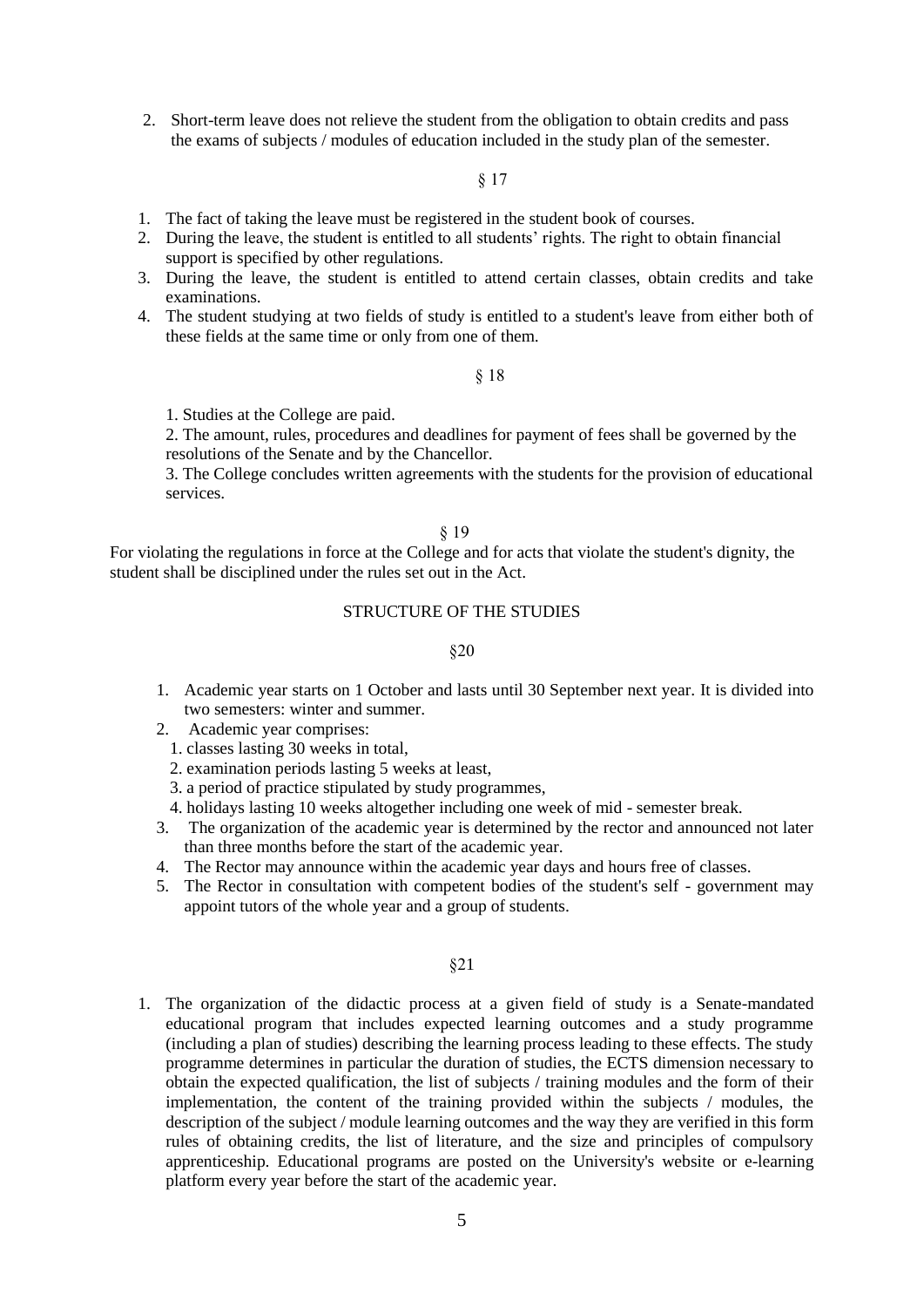2. Short-term leave does not relieve the student from the obligation to obtain credits and pass the exams of subjects / modules of education included in the study plan of the semester.

# § 17

- 1. The fact of taking the leave must be registered in the student book of courses.
- 2. During the leave, the student is entitled to all students' rights. The right to obtain financial support is specified by other regulations.
- 3. During the leave, the student is entitled to attend certain classes, obtain credits and take examinations.
- 4. The student studying at two fields of study is entitled to a student's leave from either both of these fields at the same time or only from one of them.

### § 18

1. Studies at the College are paid.

2. The amount, rules, procedures and deadlines for payment of fees shall be governed by the resolutions of the Senate and by the Chancellor.

3. The College concludes written agreements with the students for the provision of educational services.

#### § 19

For violating the regulations in force at the College and for acts that violate the student's dignity, the student shall be disciplined under the rules set out in the Act.

### STRUCTURE OF THE STUDIES

### §20

- 1. Academic year starts on 1 October and lasts until 30 September next year. It is divided into two semesters: winter and summer.
- 2. Academic year comprises:
	- 1. classes lasting 30 weeks in total,
	- 2. examination periods lasting 5 weeks at least,
	- 3. a period of practice stipulated by study programmes,
	- 4. holidays lasting 10 weeks altogether including one week of mid semester break.
- 3. The organization of the academic year is determined by the rector and announced not later than three months before the start of the academic year.
- 4. The Rector may announce within the academic year days and hours free of classes.
- 5. The Rector in consultation with competent bodies of the student's self government may appoint tutors of the whole year and a group of students.

### §21

1. The organization of the didactic process at a given field of study is a Senate-mandated educational program that includes expected learning outcomes and a study programme (including a plan of studies) describing the learning process leading to these effects. The study programme determines in particular the duration of studies, the ECTS dimension necessary to obtain the expected qualification, the list of subjects / training modules and the form of their implementation, the content of the training provided within the subjects / modules, the description of the subject / module learning outcomes and the way they are verified in this form rules of obtaining credits, the list of literature, and the size and principles of compulsory apprenticeship. Educational programs are posted on the University's website or e-learning platform every year before the start of the academic year.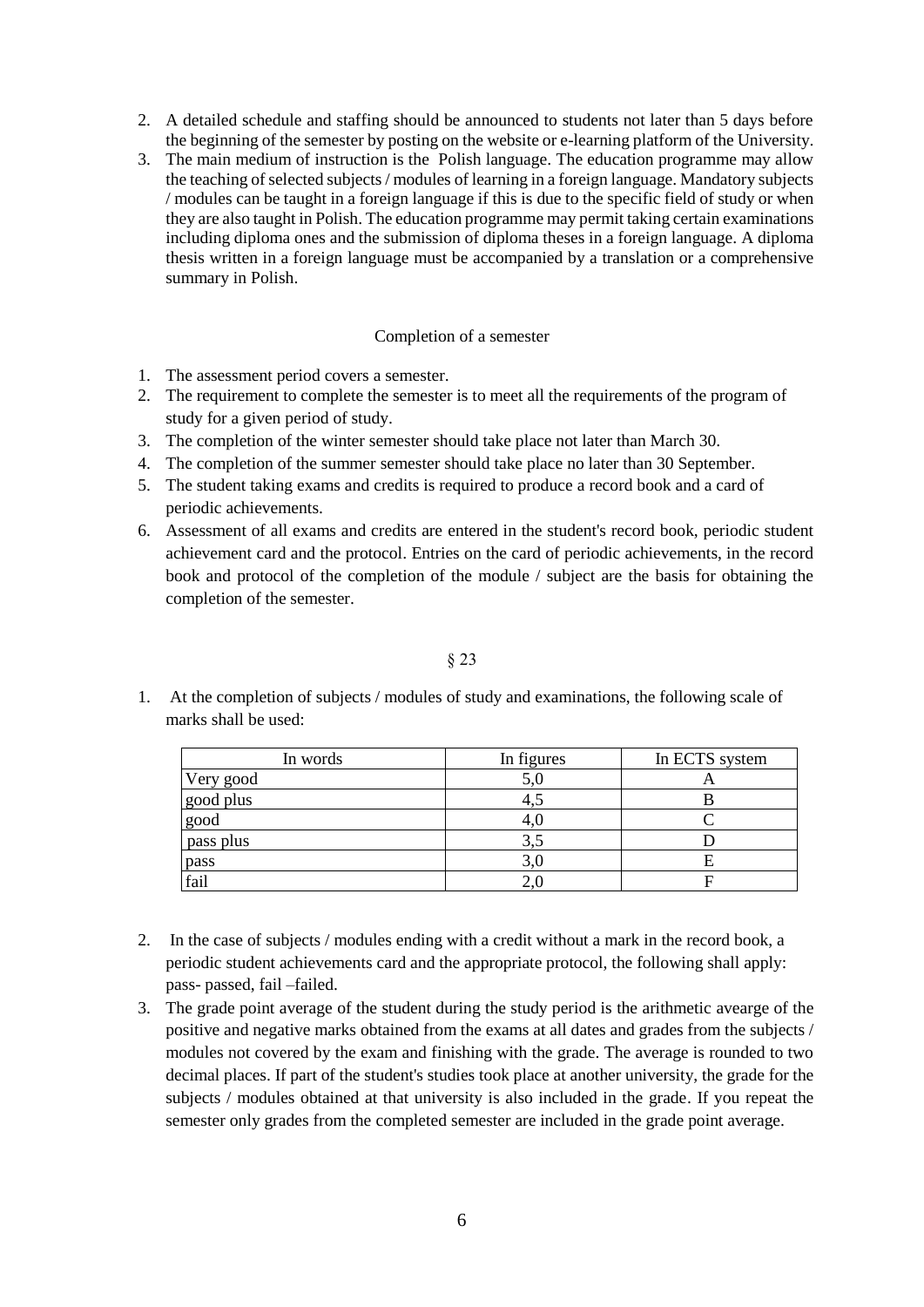- 2. A detailed schedule and staffing should be announced to students not later than 5 days before the beginning of the semester by posting on the website or e-learning platform of the University.
- 3. The main medium of instruction is the Polish language. The education programme may allow the teaching of selected subjects / modules of learning in a foreign language. Mandatory subjects / modules can be taught in a foreign language if this is due to the specific field of study or when they are also taught in Polish. The education programme may permit taking certain examinations including diploma ones and the submission of diploma theses in a foreign language. A diploma thesis written in a foreign language must be accompanied by a translation or a comprehensive summary in Polish.

### Completion of a semester

- 1. The assessment period covers a semester.
- 2. The requirement to complete the semester is to meet all the requirements of the program of study for a given period of study.
- 3. The completion of the winter semester should take place not later than March 30.
- 4. The completion of the summer semester should take place no later than 30 September.
- 5. The student taking exams and credits is required to produce a record book and a card of periodic achievements.
- 6. Assessment of all exams and credits are entered in the student's record book, periodic student achievement card and the protocol. Entries on the card of periodic achievements, in the record book and protocol of the completion of the module / subject are the basis for obtaining the completion of the semester.

# § 23

1. At the completion of subjects / modules of study and examinations, the following scale of marks shall be used:

| In words  | In figures | In ECTS system |
|-----------|------------|----------------|
| Very good | 5,0        |                |
| good plus | 4.J        |                |
| good      | 4.U        |                |
| pass plus | 3.5        |                |
| pass      | 3,0        |                |
| fail      | 2.1        |                |

- 2. In the case of subjects / modules ending with a credit without a mark in the record book, a periodic student achievements card and the appropriate protocol, the following shall apply: pass- passed, fail –failed.
- 3. The grade point average of the student during the study period is the arithmetic avearge of the positive and negative marks obtained from the exams at all dates and grades from the subjects / modules not covered by the exam and finishing with the grade. The average is rounded to two decimal places. If part of the student's studies took place at another university, the grade for the subjects / modules obtained at that university is also included in the grade. If you repeat the semester only grades from the completed semester are included in the grade point average.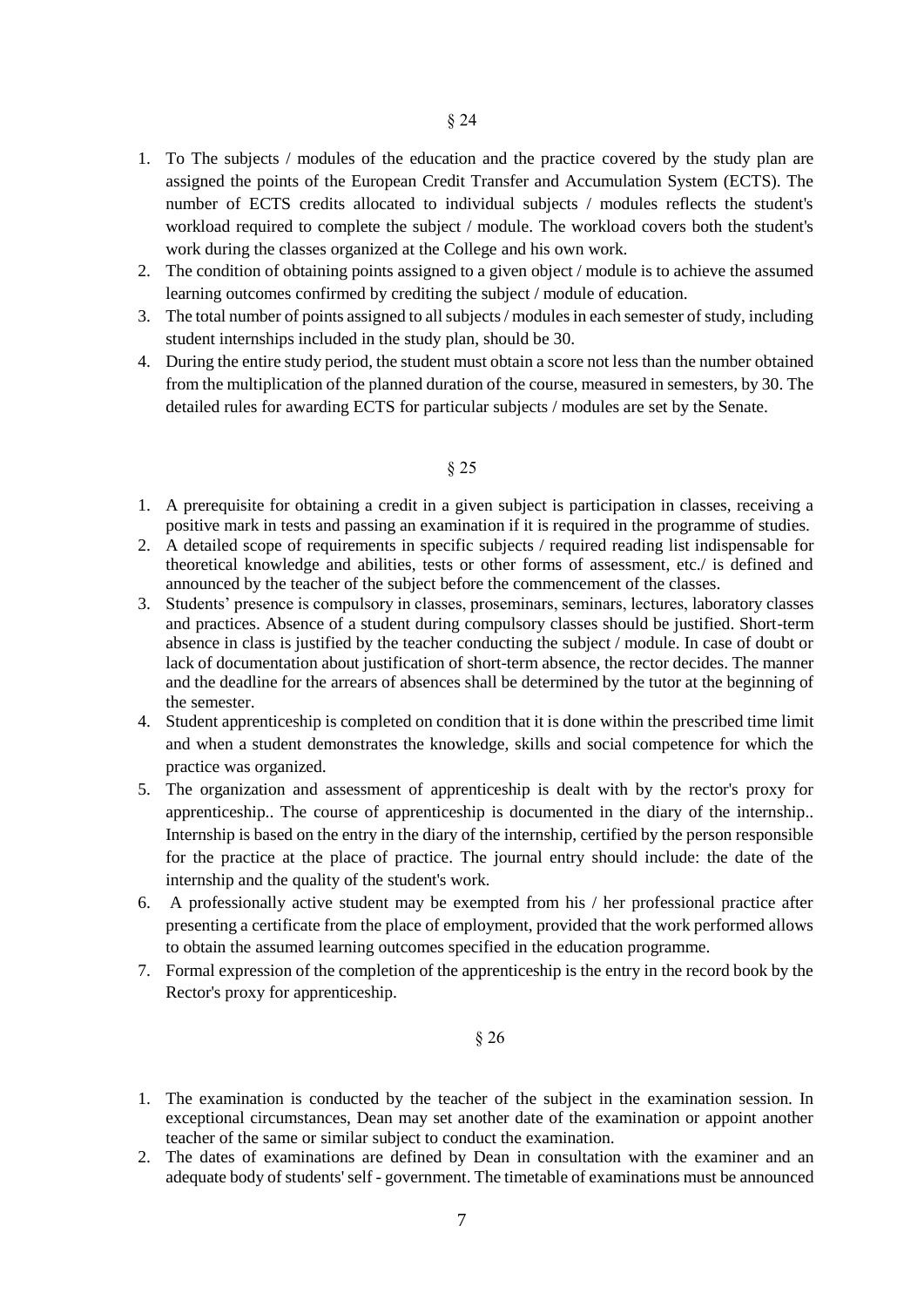- 1. To The subjects / modules of the education and the practice covered by the study plan are assigned the points of the European Credit Transfer and Accumulation System (ECTS). The number of ECTS credits allocated to individual subjects / modules reflects the student's workload required to complete the subject / module. The workload covers both the student's work during the classes organized at the College and his own work.
- 2. The condition of obtaining points assigned to a given object / module is to achieve the assumed learning outcomes confirmed by crediting the subject / module of education.
- 3. The total number of points assigned to all subjects / modules in each semester of study, including student internships included in the study plan, should be 30.
- 4. During the entire study period, the student must obtain a score not less than the number obtained from the multiplication of the planned duration of the course, measured in semesters, by 30. The detailed rules for awarding ECTS for particular subjects / modules are set by the Senate.

- 1. A prerequisite for obtaining a credit in a given subject is participation in classes, receiving a positive mark in tests and passing an examination if it is required in the programme of studies.
- 2. A detailed scope of requirements in specific subjects / required reading list indispensable for theoretical knowledge and abilities, tests or other forms of assessment, etc./ is defined and announced by the teacher of the subject before the commencement of the classes.
- 3. Students' presence is compulsory in classes, proseminars, seminars, lectures, laboratory classes and practices. Absence of a student during compulsory classes should be justified. Short-term absence in class is justified by the teacher conducting the subject / module. In case of doubt or lack of documentation about justification of short-term absence, the rector decides. The manner and the deadline for the arrears of absences shall be determined by the tutor at the beginning of the semester.
- 4. Student apprenticeship is completed on condition that it is done within the prescribed time limit and when a student demonstrates the knowledge, skills and social competence for which the practice was organized.
- 5. The organization and assessment of apprenticeship is dealt with by the rector's proxy for apprenticeship.. The course of apprenticeship is documented in the diary of the internship.. Internship is based on the entry in the diary of the internship, certified by the person responsible for the practice at the place of practice. The journal entry should include: the date of the internship and the quality of the student's work.
- 6. A professionally active student may be exempted from his / her professional practice after presenting a certificate from the place of employment, provided that the work performed allows to obtain the assumed learning outcomes specified in the education programme.
- 7. Formal expression of the completion of the apprenticeship is the entry in the record book by the Rector's proxy for apprenticeship.

- 1. The examination is conducted by the teacher of the subject in the examination session. In exceptional circumstances, Dean may set another date of the examination or appoint another teacher of the same or similar subject to conduct the examination.
- 2. The dates of examinations are defined by Dean in consultation with the examiner and an adequate body of students' self - government. The timetable of examinations must be announced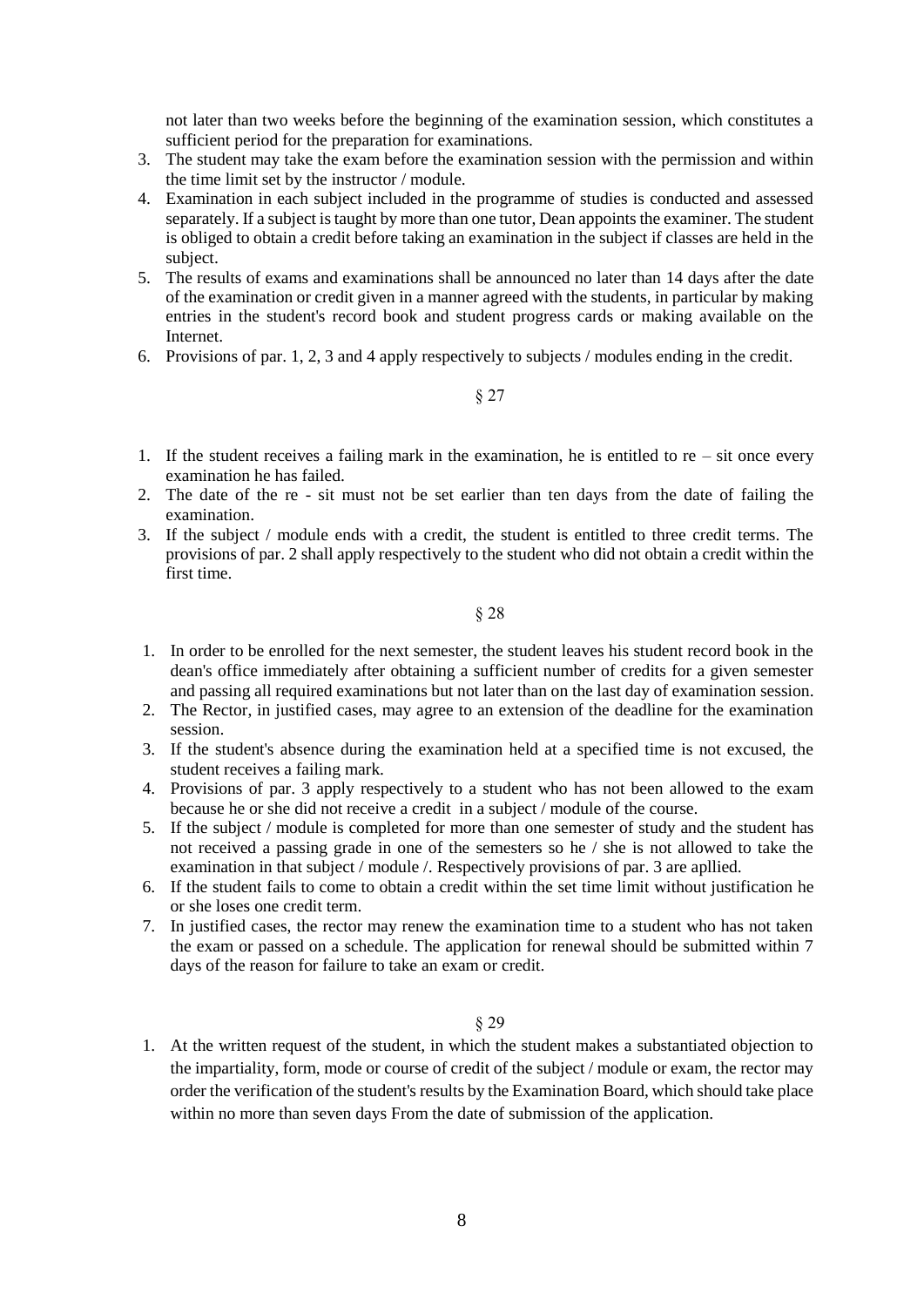not later than two weeks before the beginning of the examination session, which constitutes a sufficient period for the preparation for examinations.

- 3. The student may take the exam before the examination session with the permission and within the time limit set by the instructor / module.
- 4. Examination in each subject included in the programme of studies is conducted and assessed separately. If a subject is taught by more than one tutor, Dean appoints the examiner. The student is obliged to obtain a credit before taking an examination in the subject if classes are held in the subject.
- 5. The results of exams and examinations shall be announced no later than 14 days after the date of the examination or credit given in a manner agreed with the students, in particular by making entries in the student's record book and student progress cards or making available on the **Internet**
- 6. Provisions of par. 1, 2, 3 and 4 apply respectively to subjects / modules ending in the credit.

§ 27

- 1. If the student receives a failing mark in the examination, he is entitled to re sit once every examination he has failed.
- 2. The date of the re sit must not be set earlier than ten days from the date of failing the examination.
- 3. If the subject / module ends with a credit, the student is entitled to three credit terms. The provisions of par. 2 shall apply respectively to the student who did not obtain a credit within the first time.

§ 28

- 1. In order to be enrolled for the next semester, the student leaves his student record book in the dean's office immediately after obtaining a sufficient number of credits for a given semester and passing all required examinations but not later than on the last day of examination session.
- 2. The Rector, in justified cases, may agree to an extension of the deadline for the examination session.
- 3. If the student's absence during the examination held at a specified time is not excused, the student receives a failing mark.
- 4. Provisions of par. 3 apply respectively to a student who has not been allowed to the exam because he or she did not receive a credit in a subject / module of the course.
- 5. If the subject / module is completed for more than one semester of study and the student has not received a passing grade in one of the semesters so he / she is not allowed to take the examination in that subject / module /. Respectively provisions of par. 3 are apllied.
- 6. If the student fails to come to obtain a credit within the set time limit without justification he or she loses one credit term.
- 7. In justified cases, the rector may renew the examination time to a student who has not taken the exam or passed on a schedule. The application for renewal should be submitted within 7 days of the reason for failure to take an exam or credit.

§ 29

1. At the written request of the student, in which the student makes a substantiated objection to the impartiality, form, mode or course of credit of the subject / module or exam, the rector may order the verification of the student's results by the Examination Board, which should take place within no more than seven days From the date of submission of the application.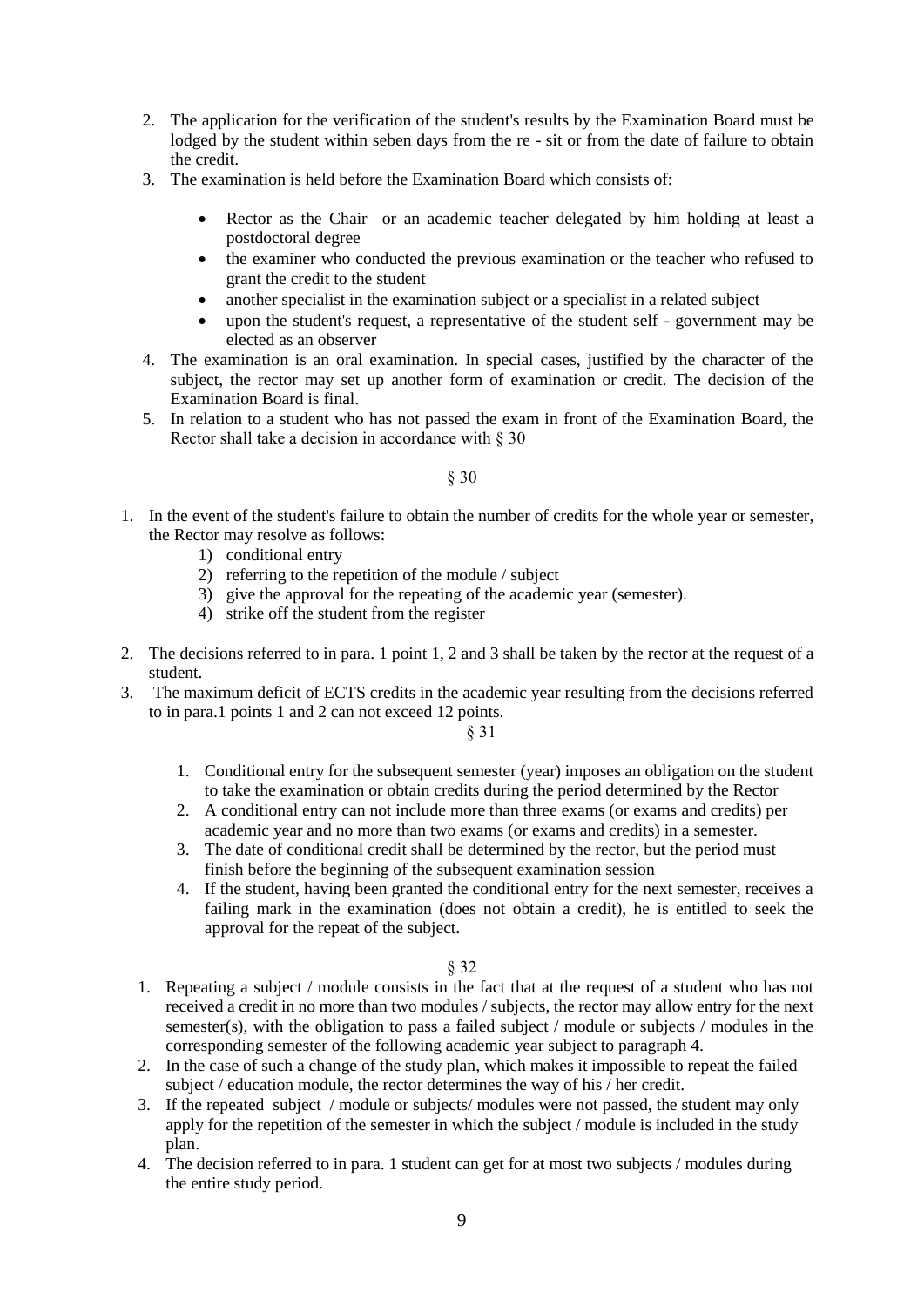- 2. The application for the verification of the student's results by the Examination Board must be lodged by the student within seben days from the re - sit or from the date of failure to obtain the credit.
- 3. The examination is held before the Examination Board which consists of:
	- Rector as the Chair or an academic teacher delegated by him holding at least a postdoctoral degree
	- the examiner who conducted the previous examination or the teacher who refused to grant the credit to the student
	- another specialist in the examination subject or a specialist in a related subject
	- upon the student's request, a representative of the student self government may be elected as an observer
- 4. The examination is an oral examination. In special cases, justified by the character of the subject, the rector may set up another form of examination or credit. The decision of the Examination Board is final.
- 5. In relation to a student who has not passed the exam in front of the Examination Board, the Rector shall take a decision in accordance with § 30

- 1. In the event of the student's failure to obtain the number of credits for the whole year or semester, the Rector may resolve as follows:
	- 1) conditional entry
	- 2) referring to the repetition of the module / subject
	- 3) give the approval for the repeating of the academic year (semester).
	- 4) strike off the student from the register
- 2. The decisions referred to in para. 1 point 1, 2 and 3 shall be taken by the rector at the request of a student.
- 3. The maximum deficit of ECTS credits in the academic year resulting from the decisions referred to in para.1 points 1 and 2 can not exceed 12 points.

§ 31

- 1. Conditional entry for the subsequent semester (year) imposes an obligation on the student to take the examination or obtain credits during the period determined by the Rector
- 2. A conditional entry can not include more than three exams (or exams and credits) per academic year and no more than two exams (or exams and credits) in a semester.
- 3. The date of conditional credit shall be determined by the rector, but the period must finish before the beginning of the subsequent examination session
- 4. If the student, having been granted the conditional entry for the next semester, receives a failing mark in the examination (does not obtain a credit), he is entitled to seek the approval for the repeat of the subject.

- 1. Repeating a subject / module consists in the fact that at the request of a student who has not received a credit in no more than two modules / subjects, the rector may allow entry for the next semester(s), with the obligation to pass a failed subject / module or subjects / modules in the corresponding semester of the following academic year subject to paragraph 4.
- 2. In the case of such a change of the study plan, which makes it impossible to repeat the failed subject / education module, the rector determines the way of his / her credit.
- 3. If the repeated subject / module or subjects/ modules were not passed, the student may only apply for the repetition of the semester in which the subject / module is included in the study plan.
- 4. The decision referred to in para. 1 student can get for at most two subjects / modules during the entire study period.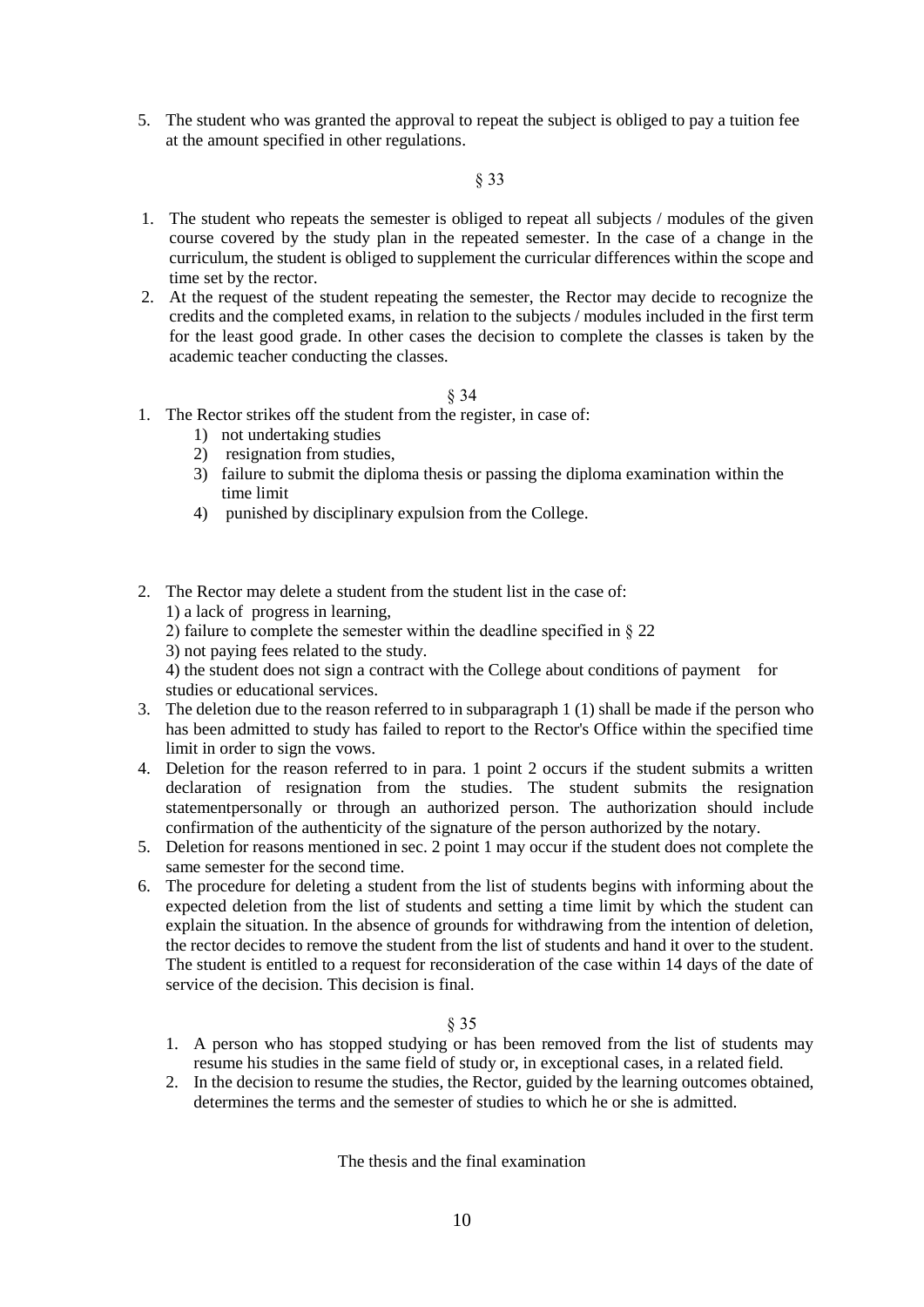5. The student who was granted the approval to repeat the subject is obliged to pay a tuition fee at the amount specified in other regulations.

# § 33

- 1. The student who repeats the semester is obliged to repeat all subjects / modules of the given course covered by the study plan in the repeated semester. In the case of a change in the curriculum, the student is obliged to supplement the curricular differences within the scope and time set by the rector.
- 2. At the request of the student repeating the semester, the Rector may decide to recognize the credits and the completed exams, in relation to the subjects / modules included in the first term for the least good grade. In other cases the decision to complete the classes is taken by the academic teacher conducting the classes.

### § 34

- 1. The Rector strikes off the student from the register, in case of:
	- 1) not undertaking studies
	- 2) resignation from studies,
	- 3) failure to submit the diploma thesis or passing the diploma examination within the time limit
	- 4) punished by disciplinary expulsion from the College.
- 2. The Rector may delete a student from the student list in the case of:
	- 1) a lack of progress in learning,
	- 2) failure to complete the semester within the deadline specified in  $\S 22$
	- 3) not paying fees related to the study.

4) the student does not sign a contract with the College about conditions of payment for studies or educational services.

- 3. The deletion due to the reason referred to in subparagraph 1 (1) shall be made if the person who has been admitted to study has failed to report to the Rector's Office within the specified time limit in order to sign the vows.
- 4. Deletion for the reason referred to in para. 1 point 2 occurs if the student submits a written declaration of resignation from the studies. The student submits the resignation statementpersonally or through an authorized person. The authorization should include confirmation of the authenticity of the signature of the person authorized by the notary.
- 5. Deletion for reasons mentioned in sec. 2 point 1 may occur if the student does not complete the same semester for the second time.
- 6. The procedure for deleting a student from the list of students begins with informing about the expected deletion from the list of students and setting a time limit by which the student can explain the situation. In the absence of grounds for withdrawing from the intention of deletion, the rector decides to remove the student from the list of students and hand it over to the student. The student is entitled to a request for reconsideration of the case within 14 days of the date of service of the decision. This decision is final.

### § 35

- 1. A person who has stopped studying or has been removed from the list of students may resume his studies in the same field of study or, in exceptional cases, in a related field.
- 2. In the decision to resume the studies, the Rector, guided by the learning outcomes obtained, determines the terms and the semester of studies to which he or she is admitted.

The thesis and the final examination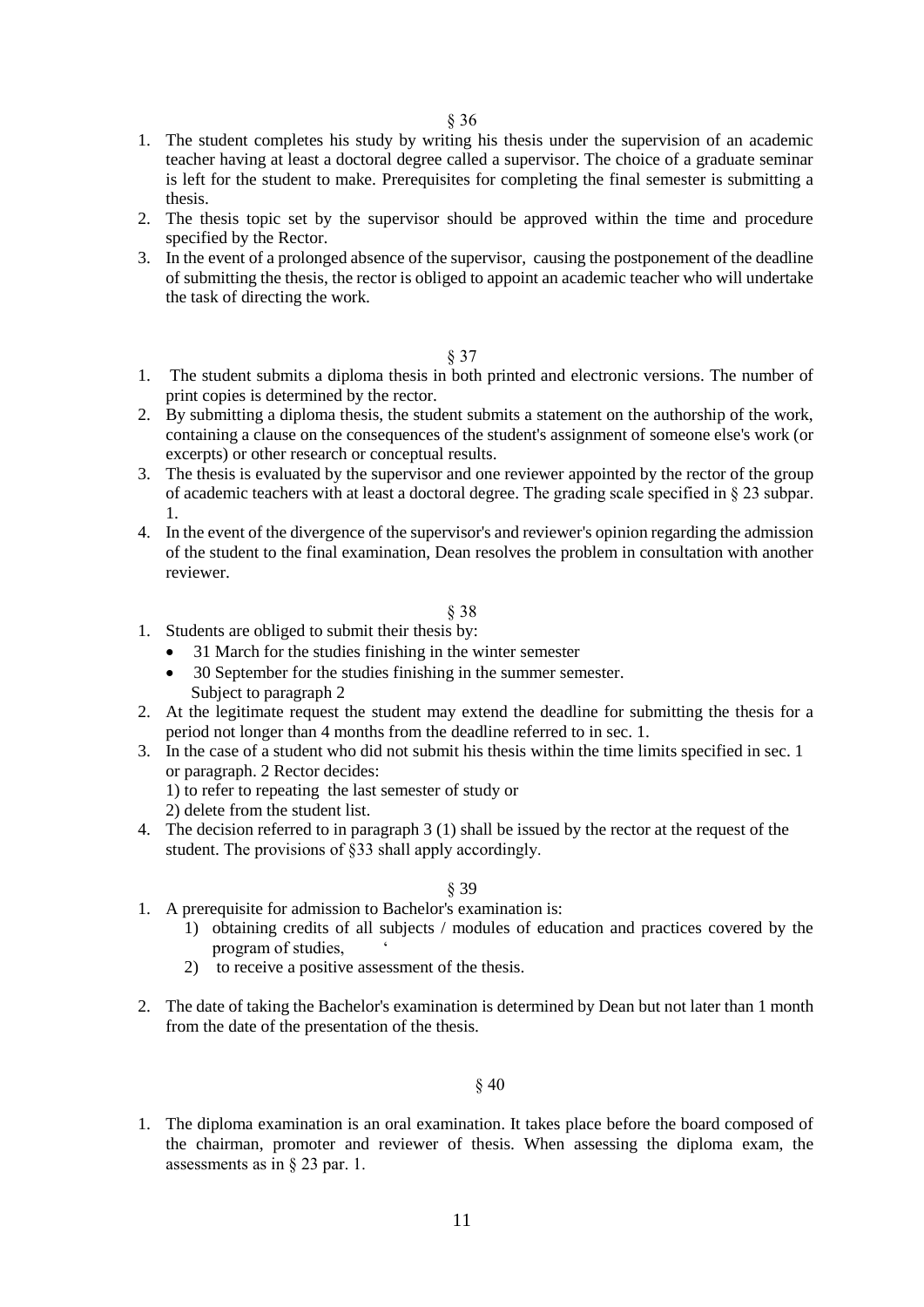- 1. The student completes his study by writing his thesis under the supervision of an academic teacher having at least a doctoral degree called a supervisor. The choice of a graduate seminar is left for the student to make. Prerequisites for completing the final semester is submitting a thesis.
- 2. The thesis topic set by the supervisor should be approved within the time and procedure specified by the Rector.
- 3. In the event of a prolonged absence of the supervisor, causing the postponement of the deadline of submitting the thesis, the rector is obliged to appoint an academic teacher who will undertake the task of directing the work.

- 1. The student submits a diploma thesis in both printed and electronic versions. The number of print copies is determined by the rector.
- 2. By submitting a diploma thesis, the student submits a statement on the authorship of the work, containing a clause on the consequences of the student's assignment of someone else's work (or excerpts) or other research or conceptual results.
- 3. The thesis is evaluated by the supervisor and one reviewer appointed by the rector of the group of academic teachers with at least a doctoral degree. The grading scale specified in § 23 subpar. 1.
- 4. In the event of the divergence of the supervisor's and reviewer's opinion regarding the admission of the student to the final examination, Dean resolves the problem in consultation with another reviewer.

### § 38

- 1. Students are obliged to submit their thesis by:
	- 31 March for the studies finishing in the winter semester
	- 30 September for the studies finishing in the summer semester. Subject to paragraph 2
- 2. At the legitimate request the student may extend the deadline for submitting the thesis for a period not longer than 4 months from the deadline referred to in sec. 1.
- 3. In the case of a student who did not submit his thesis within the time limits specified in sec. 1 or paragraph. 2 Rector decides: 1) to refer to repeating the last semester of study or
	- 2) delete from the student list.
- 4. The decision referred to in paragraph 3 (1) shall be issued by the rector at the request of the student. The provisions of §33 shall apply accordingly.

### § 39

- 1. A prerequisite for admission to Bachelor's examination is:
	- 1) obtaining credits of all subjects / modules of education and practices covered by the program of studies, '
	- 2) to receive a positive assessment of the thesis.
- 2. The date of taking the Bachelor's examination is determined by Dean but not later than 1 month from the date of the presentation of the thesis.

### § 40

1. The diploma examination is an oral examination. It takes place before the board composed of the chairman, promoter and reviewer of thesis. When assessing the diploma exam, the assessments as in § 23 par. 1.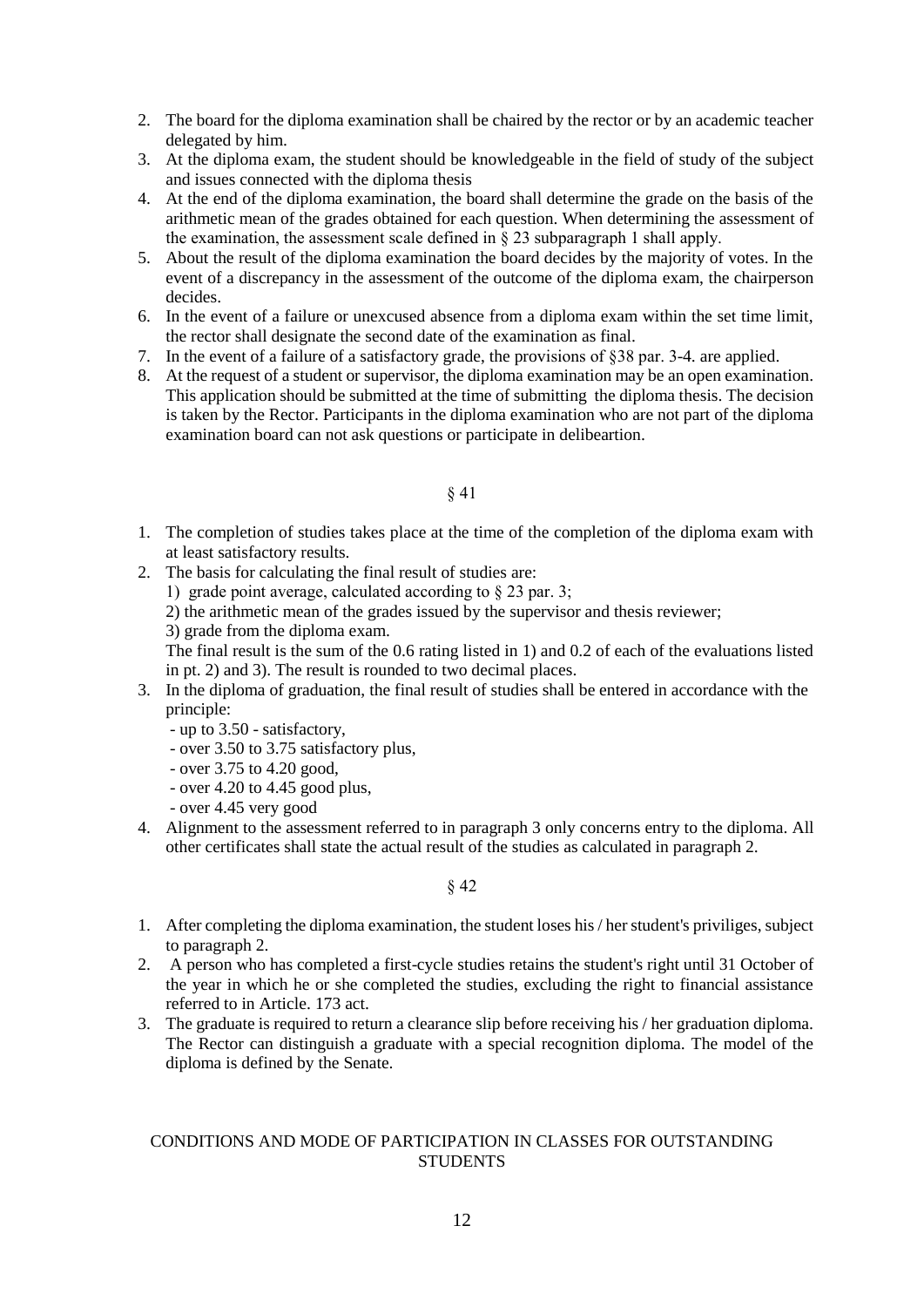- 2. The board for the diploma examination shall be chaired by the rector or by an academic teacher delegated by him.
- 3. At the diploma exam, the student should be knowledgeable in the field of study of the subject and issues connected with the diploma thesis
- 4. At the end of the diploma examination, the board shall determine the grade on the basis of the arithmetic mean of the grades obtained for each question. When determining the assessment of the examination, the assessment scale defined in § 23 subparagraph 1 shall apply.
- 5. About the result of the diploma examination the board decides by the majority of votes. In the event of a discrepancy in the assessment of the outcome of the diploma exam, the chairperson decides.
- 6. In the event of a failure or unexcused absence from a diploma exam within the set time limit, the rector shall designate the second date of the examination as final.
- 7. In the event of a failure of a satisfactory grade, the provisions of §38 par. 3-4. are applied.
- 8. At the request of a student or supervisor, the diploma examination may be an open examination. This application should be submitted at the time of submitting the diploma thesis. The decision is taken by the Rector. Participants in the diploma examination who are not part of the diploma examination board can not ask questions or participate in delibeartion.

- 1. The completion of studies takes place at the time of the completion of the diploma exam with at least satisfactory results.
- 2. The basis for calculating the final result of studies are:
	- 1) grade point average, calculated according to § 23 par. 3;
	- 2) the arithmetic mean of the grades issued by the supervisor and thesis reviewer;
	- 3) grade from the diploma exam.

The final result is the sum of the 0.6 rating listed in 1) and 0.2 of each of the evaluations listed in pt. 2) and 3). The result is rounded to two decimal places.

- 3. In the diploma of graduation, the final result of studies shall be entered in accordance with the principle:
	- up to 3.50 satisfactory,
	- over 3.50 to 3.75 satisfactory plus,
	- over 3.75 to 4.20 good,
	- over 4.20 to 4.45 good plus,
	- over 4.45 very good
- 4. Alignment to the assessment referred to in paragraph 3 only concerns entry to the diploma. All other certificates shall state the actual result of the studies as calculated in paragraph 2.

## § 42

- 1. After completing the diploma examination, the student loses his / her student's priviliges, subject to paragraph 2.
- 2. A person who has completed a first-cycle studies retains the student's right until 31 October of the year in which he or she completed the studies, excluding the right to financial assistance referred to in Article. 173 act.
- 3. The graduate is required to return a clearance slip before receiving his / her graduation diploma. The Rector can distinguish a graduate with a special recognition diploma. The model of the diploma is defined by the Senate.

# CONDITIONS AND MODE OF PARTICIPATION IN CLASSES FOR OUTSTANDING **STUDENTS**